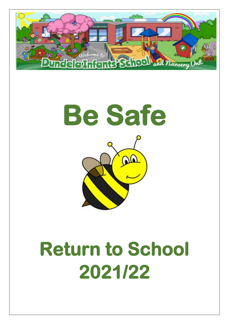



# **Return to School 2021/22**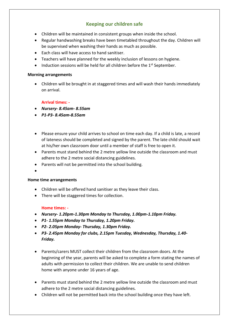## **Keeping our children safe**

- Children will be maintained in consistent groups when inside the school.
- Regular handwashing breaks have been timetabled throughout the day. Children will be supervised when washing their hands as much as possible.
- Each class will have access to hand sanitiser.
- Teachers will have planned for the weekly inclusion of lessons on hygiene.
- $\bullet$  Induction sessions will be held for all children before the 1st September.

#### **Morning arrangements**

 Children will be brought in at staggered times and will wash their hands immediately on arrival.

#### **Arrival times: -**

- *Nursery- 8.45am- 8.55am*
- *P1-P3- 8.45am-8.55am*
- Please ensure your child arrives to school on time each day. If a child is late, a record of lateness should be completed and signed by the parent. The late child should wait at his/her own classroom door until a member of staff is free to open it.
- Parents must stand behind the 2 metre yellow line outside the classroom and must adhere to the 2 metre social distancing guidelines.
- Parents will not be permitted into the school building.
- $\bullet$

#### **Home time arrangements**

- Children will be offered hand sanitiser as they leave their class.
- There will be staggered times for collection.

#### **Home times: -**

- *Nursery- 1.20pm-1.30pm Monday to Thursday, 1.00pm-1.10pm Friday.*
- *P1- 1.55pm Monday to Thursday, 1.20pm Friday.*
- *P2- 2.05pm Monday- Thursday, 1.30pm Friday.*
- *P3- 2.45pm Monday for clubs, 2.15pm Tuesday, Wednesday, Thursday, 1.40- Friday.*
- Parents/carers MUST collect their children from the classroom doors. At the beginning of the year, parents will be asked to complete a form stating the names of adults with permission to collect their children. We are unable to send children home with anyone under 16 years of age.
- Parents must stand behind the 2 metre yellow line outside the classroom and must adhere to the 2 metre social distancing guidelines.
- Children will not be permitted back into the school building once they have left.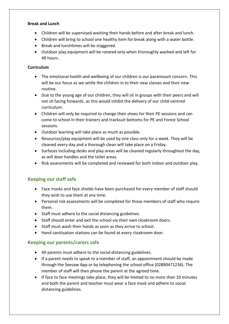#### **Break and Lunch**

- Children will be supervised washing their hands before and after break and lunch.
- Children will bring to school one healthy item for break along with a water bottle.
- Break and lunchtimes will be staggered.
- Outdoor play equipment will be rotated only when thoroughly washed and left for 48 hours.

#### **Curriculum**

- The emotional health and wellbeing of our children is our paramount concern. This will be our focus as we settle the children in to their new classes and their new routine.
- Due to the young age of our children, they will sit in groups with their peers and will not sit facing forwards, as this would inhibit the delivery of our child-centred curriculum.
- Children will only be required to change their shoes for their PE sessions and can come to school in their trainers and tracksuit bottoms for PE and Forest School sessions.
- Outdoor learning will take place as much as possible.
- Resources/play equipment will be used by one class only for a week. They will be cleaned every day and a thorough clean will take place on a Friday.
- Surfaces including desks and play areas will be cleaned regularly throughout the day, as will door handles and the toilet areas.
- Risk assessments will be completed and reviewed for both indoor and outdoor play.

## **Keeping our staff safe**

- Face masks and face shields have been purchased for every member of staff should they wish to use them at any time.
- Personal risk assessments will be completed for those members of staff who require them.
- Staff must adhere to the social distancing guidelines.
- Staff should enter and exit the school via their own cloakroom doors.
- Staff must wash their hands as soon as they arrive to school.
- Hand sanitisation stations can be found at every cloakroom door.

## **Keeping our parents/carers safe**

- All parents must adhere to the social distancing guidelines.
- If a parent needs to speak to a member of staff, an appointment should be made through the Seesaw App or by telephoning the school office (02890471234). The member of staff will then phone the parent at the agreed time.
- If face to face meetings take place, they will be limited to no more than 10 minutes and both the parent and teacher must wear a face mask and adhere to social distancing guidelines.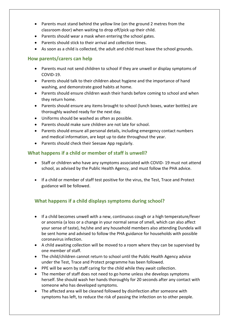- Parents must stand behind the yellow line (on the ground 2 metres from the classroom door) when waiting to drop off/pick up their child.
- Parents should wear a mask when entering the school gates.
- Parents should stick to their arrival and collection times.
- As soon as a child is collected, the adult and child must leave the school grounds.

## **How parents/carers can help**

- Parents must not send children to school if they are unwell or display symptoms of COVID-19.
- Parents should talk to their children about hygiene and the importance of hand washing, and demonstrate good habits at home.
- Parents should ensure children wash their hands before coming to school and when they return home.
- Parents should ensure any items brought to school (lunch boxes, water bottles) are thoroughly washed ready for the next day.
- Uniforms should be washed as often as possible.
- Parents should make sure children are not late for school.
- Parents should ensure all personal details, including emergency contact numbers and medical information, are kept up to date throughout the year.
- Parents should check their Seesaw App regularly.

## **What happens if a child or member of staff is unwell?**

- Staff or children who have any symptoms associated with COVID- 19 must not attend school, as advised by the Public Health Agency, and must follow the PHA advice.
- If a child or member of staff test positive for the virus, the Test, Trace and Protect guidance will be followed.

# **What happens if a child displays symptoms during school?**

- If a child becomes unwell with a new, continuous cough or a high temperature/fever or anosmia (a loss or a change in your normal sense of smell, which can also affect your sense of taste), he/she and any household members also attending Dundela will be sent home and advised to follow the PHA guidance for households with possible coronavirus infection.
- A child awaiting collection will be moved to a room where they can be supervised by one member of staff.
- The child/children cannot return to school until the Public Health Agency advice under the Test, Trace and Protect programme has been followed.
- PPE will be worn by staff caring for the child while they await collection.
- The member of staff does not need to go home unless she develops symptoms herself. She should wash her hands thoroughly for 20 seconds after any contact with someone who has developed symptoms.
- The affected area will be cleaned followed by disinfection after someone with symptoms has left, to reduce the risk of passing the infection on to other people.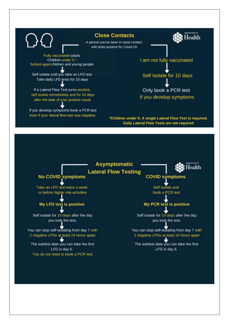

#### **Close Contacts**

A person you've been in close contact with tests positive for Covid-19.

**Fully vaccinated adults** Children under 5.\* School aged children and young people.

Self isolate until you take an LFD test. Take daily LFD tests for 10 days

If a Lateral Flow Test turns positive. self isolate immediately and for 10 days after the date of your positive result.

If you develop symptoms book a PCR test even if your lateral flow test was negative.

I am not fully vaccinated

Health

Self Isolate for 10 days

Only book a PCR test if you develop symptoms

\*Children under 5: A single Lateral Flow Test is required. Daily Lateral Flow Tests are not required

# **Asymptomatic Lateral Flow Testing**



### **COVID symptoms**

Self isolate and book a PCR test

## My PCR test is positive

Self isolate for 10 days after the day you took the test.

You can stop self-isolating from day 7 with 2 negative LFDs at least 24 hours apart

The earliest date you can take the first LFD is day 6.

## **No COVID symptoms**

Take an LFD test twice a week or before higher risk activities

#### My LFD test is positive

Self isolate for 10 days after the day you took the test.

You can stop self-isolating from day 7 with 2 negative LFDs at least 24 hours apart

The earliest date you can take the first LFD is day 6. You do not need to book a PCR test